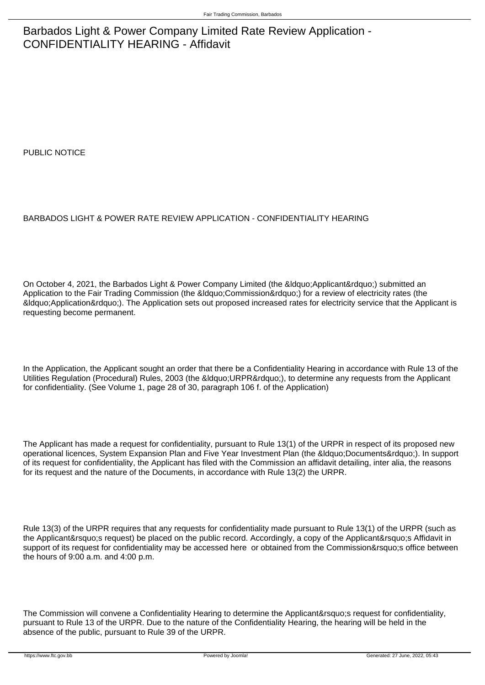## Barbados Light & Power Company Limited Rate Review Application - CONFIDENTIALITY HEARING - Affidavit

PUBLIC NOTICE

## BARBADOS LIGHT & POWER RATE REVIEW APPLICATION - CONFIDENTIALITY HEARING

On October 4, 2021, the Barbados Light & Power Company Limited (the " Applicant ") submitted an Application to the Fair Trading Commission (the &ldquo:Commission&rdquo:) for a review of electricity rates (the "Application"). The Application sets out proposed increased rates for electricity service that the Applicant is requesting become permanent.

In the Application, the Applicant sought an order that there be a Confidentiality Hearing in accordance with Rule 13 of the Utilities Regulation (Procedural) Rules, 2003 (the &Idquo;URPR"), to determine any requests from the Applicant for confidentiality. (See Volume 1, page 28 of 30, paragraph 106 f. of the Application)

The Applicant has made a request for confidentiality, pursuant to Rule 13(1) of the URPR in respect of its proposed new operational licences, System Expansion Plan and Five Year Investment Plan (the &Idquo;Documents"). In support of its request for confidentiality, the Applicant has filed with the Commission an affidavit detailing, inter alia, the reasons for its request and the nature of the Documents, in accordance with Rule 13(2) the URPR.

Rule 13(3) of the URPR requires that any requests for confidentiality made pursuant to Rule 13(1) of the URPR (such as the Applicant' request) be placed on the public record. Accordingly, a copy of the Applicant' a Affidavit in support of its request for confidentiality may be accessed here or obtained from the Commission's office between the hours of 9:00 a.m. and 4:00 p.m.

The Commission will convene a Confidentiality Hearing to determine the Applicant's request for confidentiality, pursuant to Rule 13 of the URPR. Due to the nature of the Confidentiality Hearing, the hearing will be held in the absence of the public, pursuant to Rule 39 of the URPR.